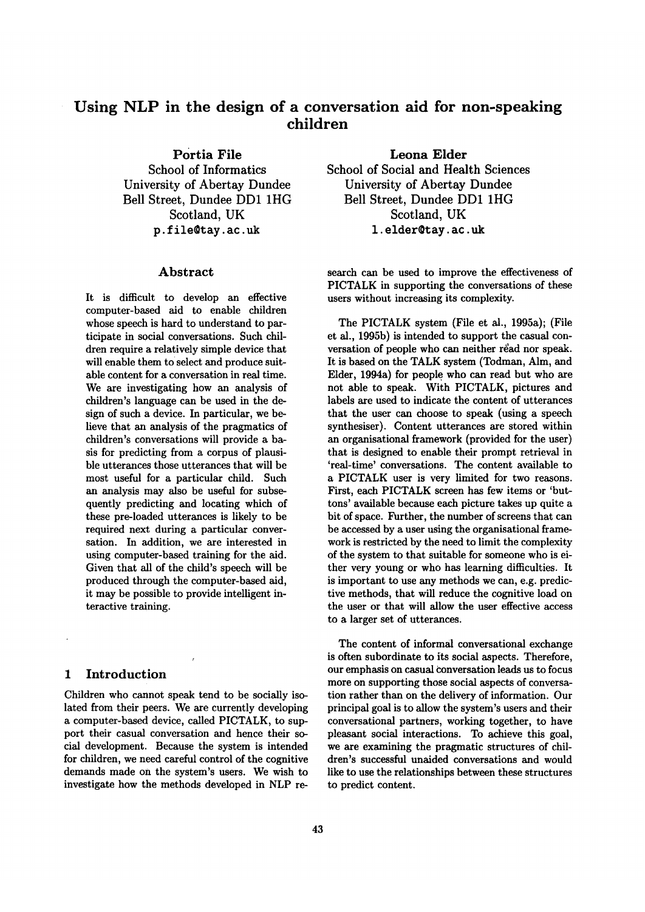# Using NLP in the design of a conversation aid for non-speaking children

Portia **File** 

School of Informatics University of Abertay Dundee Bell Street, Dundee DD1 1HG Scotland, UK p.file@tay.ac.uk

# **Abstract**

It is difficult to develop an effective computer-based aid to enable children whose speech is hard to understand to participate in social conversations. Such children require a relatively simple device that will enable them to select and produce suitable content for a conversation in real time. We are investigating how an analysis of children's language can be used in the design of such a device. In particular, we believe that an analysis of the pragmatics of children's conversations will provide a basis for predicting from a corpus of plausible utterances those utterances that will be most useful for a particular child. Such an analysis may also be useful for subsequently predicting and locating which of these pre-loaded utterances is likely to be required next during a particular conversation. In addition, we are interested in using computer-based training for the aid. Given that all of the child's speech will be produced through the computer-based aid, it may be possible to provide intelligent interactive training.

# **1** Introduction

Children who cannot speak tend to be socially isolated from their peers. We are currently developing a computer-based device, called PICTALK, to support their casual conversation and hence their social development. Because the system is intended for children, we need careful control of the cognitive demands made on the system's users. We wish to investigate how the methods developed in NLP re-

**Leona Elder School of Social and Health Sciences University of Abertay Dundee Bell Street, Dundee DD1 1HG**  Scotland, UK 1. elder@tay.ac.uk

search can be used to improve the effectiveness of PICTALK in supporting the conversations of these users without increasing its complexity.

The PICTALK system (File et al., 1995a); (File et al., 1995b) is intended to support the casual conversation of people who can neither read nor speak. It is based on the TALK system (Todman, Aim, and Elder, 1994a) for people who can read but who are not able to speak. With PICTALK, pictures and labels are used to indicate the content of utterances that the user can choose to speak (using a speech synthesiser). Content utterances are stored within an organisational framework (provided for the user) that is designed to enable their prompt retrieval in 'real-time' conversations. The content available to a PICTALK user is very limited for two reasons. First, each PICTALK screen has few items or 'buttons' available because each picture takes up quite a bit of space. Further, the number of screens that can be accessed by a user using the organisational framework is restricted by the need to limit the complexity of the system to that suitable for someone who is either very young or who has learning difficulties. It is important to use any methods we can, e.g. predictive methods, that will reduce the cognitive load on the user or that will allow the user effective access to a larger set of utterances.

The content of informal conversational exchange is often subordinate to its social aspects. Therefore, our emphasis on casual conversation leads us to focus more on supporting those social aspects of conversation rather than on the delivery of information. Our principal goal is to allow the system's users and their conversational partners, working together, to have pleasant social interactions. To achieve this goal, we are examining the pragmatic structures of children's successful unaided conversations and would like to use the relationships between these structures to predict content.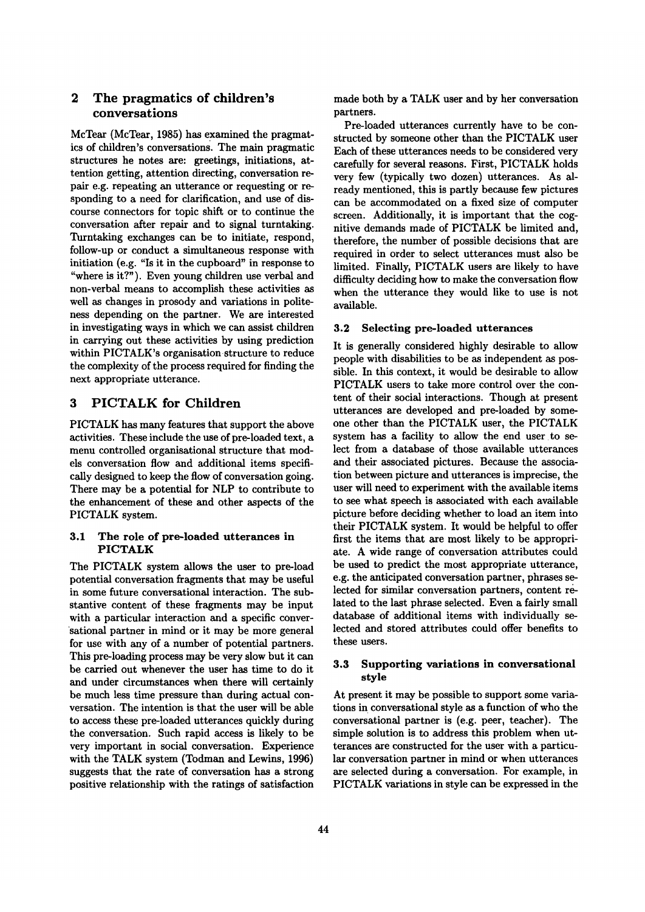# 2 The pragmatics of children's conversations

McTear (McTear, 1985) has examined the pragmatics of children's conversations. The main pragmatic structures he notes are: greetings, initiations, attention getting, attention directing, conversation repair e.g. repeating an utterance or requesting or responding to a need for clarification, and use of discourse connectors for topic shift or to continue the conversation after repair and to signal turntaking. 'Ihrntaking exchanges can be to initiate, respond, follow-up or conduct a simultaneous response with initiation (e.g. "Is it in the cupboard" in response to "where is it?"). Even young children use verbal and non-verbal means to accomplish these activities as well as changes in prosody and variations in politeness depending on the partner. We are interested in investigating ways in which we can assist children in carrying out these activities by using prediction within PICTALK's organisation structure to reduce the complexity of the process required for finding the next appropriate utterance.

# 3 PICTALK for Children

PICTALK has many features that support the above activities. These include the use of pre-loaded text, a menu controlled organisational structure that models conversation flow and additional items specifically designed to keep the flow of conversation going. There may be a potential for NLP to contribute to the enhancement of these and other aspects of the PICTALK system.

#### 3.1 The role of pre-loaded utterances in PICTALK

The PICTALK system allows the user to pre-load potential conversation fragments that may be useful in some future conversational interaction. The substantive content of these fragments may be input with a particular interaction and a specific conversational partner in mind or it may be more general for use with any of a number of potential partners. This pre-loading process may be very slow but it can be carried out whenever the user has time to do it and under circumstances when there will certainly be much less time pressure than during actual conversation. The intention is that the user will be able to access these pre-loaded utterances quickly during the conversation. Such rapid access is likely to be very important in social conversation. Experience with the TALK system (Todman and Lewins, 1996) suggests that the rate of conversation has a strong positive relationship with the ratings of satisfaction made both by a TALK user and by her conversation partners.

Pre-loaded utterances currently have to be constructed by someone other than the PICTALK user Each of these utterances needs to be considered very carefully for several reasons. First, PICTALK holds very few (typically two dozen) utterances. As already mentioned, this is partly because few pictures can be accommodated on a fixed size of computer screen. Additionally, it is important that the cognitive demands made of PICTALK be limited and, therefore, the number of possible decisions that are required in order to select utterances must also be limited. Finally, PICTALK users are likely to have difficulty deciding how to make the conversation flow when the utterance they would like to use is not available.

#### **3.2 Selecting pre-loaded utterances**

It is generally considered highly desirable to allow people with disabilities to be as independent as possible. In this context, it would be desirable to allow PICTALK users to take more control over the content of their social interactions. Though at present utterances are developed and pre-loaded by someone other than the PICTALK user, the PICTALK system has a facility to allow the end user to select from a database of those available utterances and their associated pictures. Because the association between picture and utterances is imprecise, the user will need to experiment with the available items to see what speech is associated with each available picture before deciding whether to load an item into their PICTALK system. It would be helpful to offer first the items that are most likely to be appropriate. A wide range of conversation attributes could be used to predict the most appropriate utterance, e.g. the anticipated conversation partner, phrases selected for similar conversation partners, content related to the last phrase selected. Even a fairly small database of additional items with individually selected and stored attributes could offer benefits to these users.

#### 3.3 **Supporting variations in conversational style**

At present it may be possible to support some variations in conversational style as a function of who the conversational partner is (e.g. peer, teacher). The simple solution is to address this problem when utterances are constructed for the user with a particular conversation partner in mind or when utterances are selected during a conversation. For example, in PICTALK variations in style can be expressed in the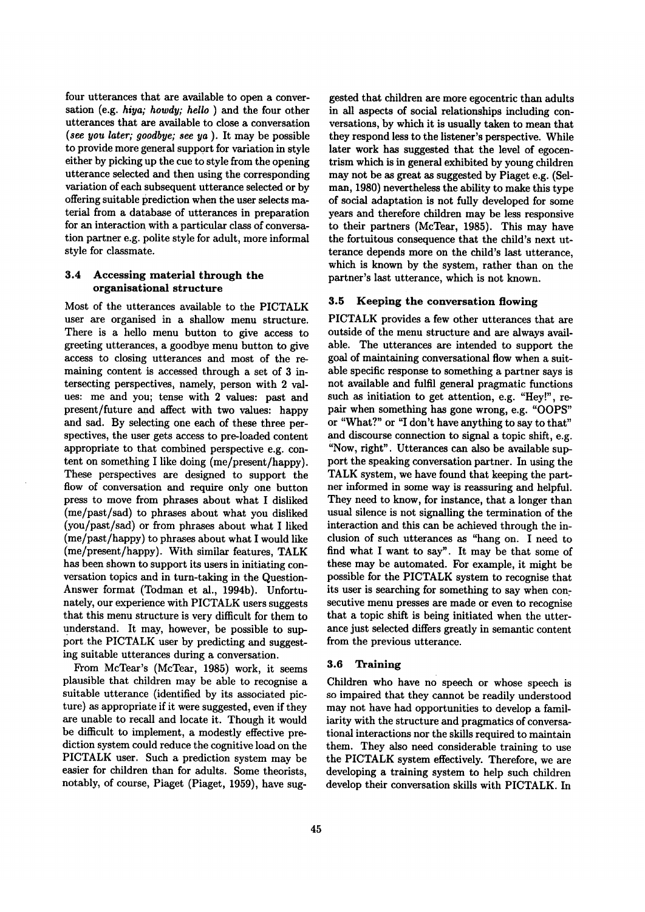four utterances that are available to open a conversation (e.g. *hiya; howdy; hello* ) and the four other utterances that are available to close a conversation *(see you later; goodbye; see ya ).* It may be possible to provide more general support for variation in style either by picking up the cue to style from the opening utterance selected and then using the corresponding variation of each subsequent utterance selected or by offering suitable prediction when the user selects material from a database of utterances in preparation for an interaction with a particular class of conversation partner e.g. polite style for adult, more informal style for classmate.

# **3.4 Accessing material through the organisational structure**

Most of the utterances available to the PICTALK user are organised in a shallow menu structure. There is a hello menu button to give access to greeting utterances, a goodbye menu button to give access to closing utterances and most of the remaining content is accessed through a set of 3 intersecting perspectives, namely, person with 2 values: me and you; tense with 2 values: past and present/future and affect with two values: happy and sad. By selecting one each of these three perspectives, the user gets access to pre-loaded content appropriate to that combined perspective e.g. content on something I like doing (me/present/happy). These perspectives are designed to support the flow of conversation and require only one button press to move from phrases about what I disliked (me/past/sad) to phrases about what you disliked (you/past/sad) or from phrases about what I liked (me/past/happy) to phrases about what I would like (me/present/happy). With similar features, TALK has been shown to support its users in initiating conversation topics and in turn-taking in the Question-Answer format (Todman et al., 1994b). Unfortunately, our experience with PICTALK users suggests that this menu structure is very difficult for them to understand. It may, however, be possible to support the PICTALK user by predicting and suggesting suitable utterances during a conversation.

From McTear's (McTear, 1985) work, it seems plausible that children may be able to recognise a suitable utterance (identified by its associated picture) as appropriate if it were suggested, even if they are unable to recall and locate it. Though it would be difficult to implement, a modestly effective prediction system could reduce the cognitive load on the PICTALK user. Such a prediction system may be easier for children than for adults. Some theorists, notably, of course, Piaget (Piaget, 1959), have sug-

gested that children are more egocentric than adults in all aspects of social relationships including conversations, by which it is usually taken to mean that they respond less to the listener's perspective. While later work has suggested that the level of egocentrism which is in general exhibited by young children may not be as great as suggested by Piaget e.g. (Selman, 1980) nevertheless the ability to make this type of social adaptation is not fully developed for some years and therefore children may be less responsive to their partners (McTear, 1985). This may have the fortuitous consequence that the child's next utterance depends more on the child's last utterance, which is known by the system, rather than on the partner's last utterance, which is not known.

# **3.5 Keeping the conversation flowing**

PICTALK provides a few other utterances that are outside of the menu structure and are always available. The utterances are intended to support the goal of maintaining conversational flow when a suitable specific response to something a partner says is not available and fulfil general pragmatic functions such as initiation to get attention, e.g. "Hey!", repair when something has gone wrong, e.g. "OOPS" or "What?" or "I don't have anything to say to that" and discourse connection to signal a topic shift, e.g. "Now, right". Utterances can also be available support the speaking conversation partner. In using the TALK system, we have found that keeping the partner informed in some way is reassuring and helpful. They need to know, for instance, that a longer than usual silence is not signalling the termination of the interaction and this can be achieved through the inclusion of such utterances as "hang on. I need to find what I want to say". It may be that some of these may be automated. For example, it might be possible for the PICTALK system to recognise that its user is searching for something to say when consecutive menu presses are made or even to recognise that a topic shift is being initiated when the utterance just selected differs greatly in semantic content from the previous utterance.

# 3.6 **Training**

Children who have no speech or whose speech is so impaired that they cannot be readily understood may not have had opportunities to develop a familiarity with the structure and pragmatics of conversational interactions nor the skills required to maintain them. They also need considerable training to use the PICTALK system effectively. Therefore, we are developing a training system to help such children develop their conversation skills with PICTALK. In